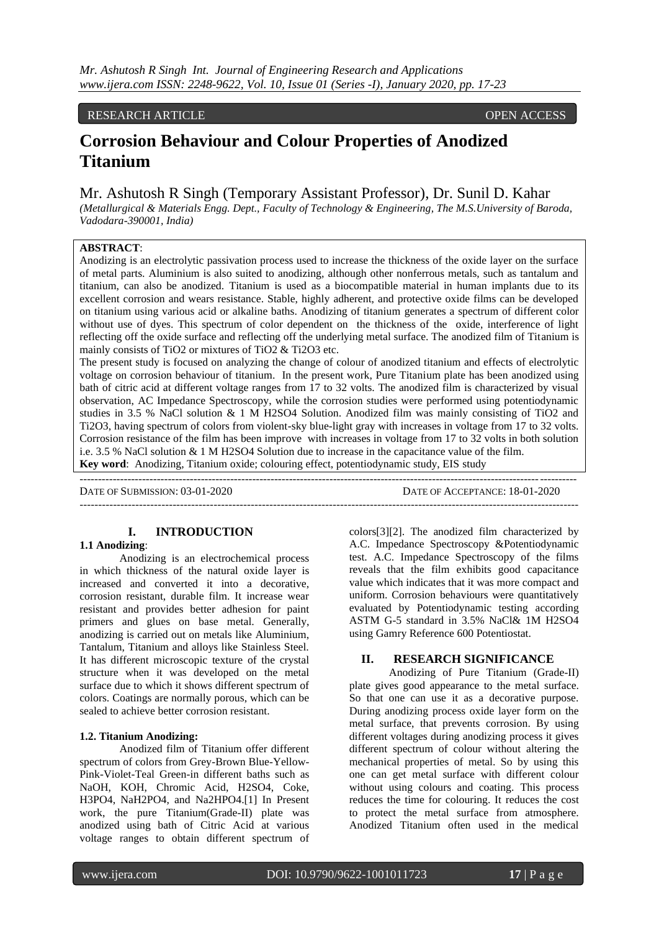# RESEARCH ARTICLE **CONSERVERS**

# **Corrosion Behaviour and Colour Properties of Anodized Titanium**

# Mr. Ashutosh R Singh (Temporary Assistant Professor), Dr. Sunil D. Kahar

*(Metallurgical & Materials Engg. Dept., Faculty of Technology & Engineering, The M.S.University of Baroda, Vadodara-390001, India)*

# **ABSTRACT**:

Anodizing is an electrolytic passivation process used to increase the thickness of the oxide layer on the surface of metal parts. Aluminium is also suited to anodizing, although other nonferrous metals, such as tantalum and titanium, can also be anodized. Titanium is used as a biocompatible material in human implants due to its excellent corrosion and wears resistance. Stable, highly adherent, and protective oxide films can be developed on titanium using various acid or alkaline baths. Anodizing of titanium generates a spectrum of different color without use of dyes. This spectrum of color dependent on the thickness of the oxide, interference of light reflecting off the oxide surface and reflecting off the underlying metal surface. The anodized film of Titanium is mainly consists of TiO2 or mixtures of TiO2 & Ti2O3 etc.

The present study is focused on analyzing the change of colour of anodized titanium and effects of electrolytic voltage on corrosion behaviour of titanium. In the present work, Pure Titanium plate has been anodized using bath of citric acid at different voltage ranges from 17 to 32 volts. The anodized film is characterized by visual observation, AC Impedance Spectroscopy, while the corrosion studies were performed using potentiodynamic studies in 3.5 % NaCl solution & 1 M H2SO4 Solution. Anodized film was mainly consisting of TiO2 and Ti2O3, having spectrum of colors from violent-sky blue-light gray with increases in voltage from 17 to 32 volts. Corrosion resistance of the film has been improve with increases in voltage from 17 to 32 volts in both solution i.e. 3.5 % NaCl solution & 1 M H2SO4 Solution due to increase in the capacitance value of the film. **Key word**: Anodizing, Titanium oxide; colouring effect, potentiodynamic study, EIS study

---------------------------------------------------------------------------------------------------------------------------------------

DATE OF SUBMISSION: 03-01-2020 DATE OF ACCEPTANCE: 18-01-2020

--------------------------------------------------------------------------------------------------------------------------------------

# **I. INTRODUCTION**

## **1.1 Anodizing**:

Anodizing is an electrochemical process in which thickness of the natural oxide layer is increased and converted it into a decorative, corrosion resistant, durable film. It increase wear resistant and provides better adhesion for paint primers and glues on base metal. Generally, anodizing is carried out on metals like Aluminium, Tantalum, Titanium and alloys like Stainless Steel. It has different microscopic texture of the crystal structure when it was developed on the metal surface due to which it shows different spectrum of colors. Coatings are normally porous, which can be sealed to achieve better corrosion resistant.

#### **1.2. Titanium Anodizing:**

Anodized film of Titanium offer different spectrum of colors from Grey-Brown Blue-Yellow-Pink-Violet-Teal Green-in different baths such as NaOH, KOH, Chromic Acid, H2SO4, Coke, H3PO4, NaH2PO4, and Na2HPO4.[1] In Present work, the pure Titanium(Grade-II) plate was anodized using bath of Citric Acid at various voltage ranges to obtain different spectrum of

colors[3][2]. The anodized film characterized by A.C. Impedance Spectroscopy &Potentiodynamic test. A.C. Impedance Spectroscopy of the films reveals that the film exhibits good capacitance value which indicates that it was more compact and uniform. Corrosion behaviours were quantitatively evaluated by Potentiodynamic testing according ASTM G-5 standard in 3.5% NaCl& 1M H2SO4 using Gamry Reference 600 Potentiostat.

## **II. RESEARCH SIGNIFICANCE**

Anodizing of Pure Titanium (Grade-II) plate gives good appearance to the metal surface. So that one can use it as a decorative purpose. During anodizing process oxide layer form on the metal surface, that prevents corrosion. By using different voltages during anodizing process it gives different spectrum of colour without altering the mechanical properties of metal. So by using this one can get metal surface with different colour without using colours and coating. This process reduces the time for colouring. It reduces the cost to protect the metal surface from atmosphere. Anodized Titanium often used in the medical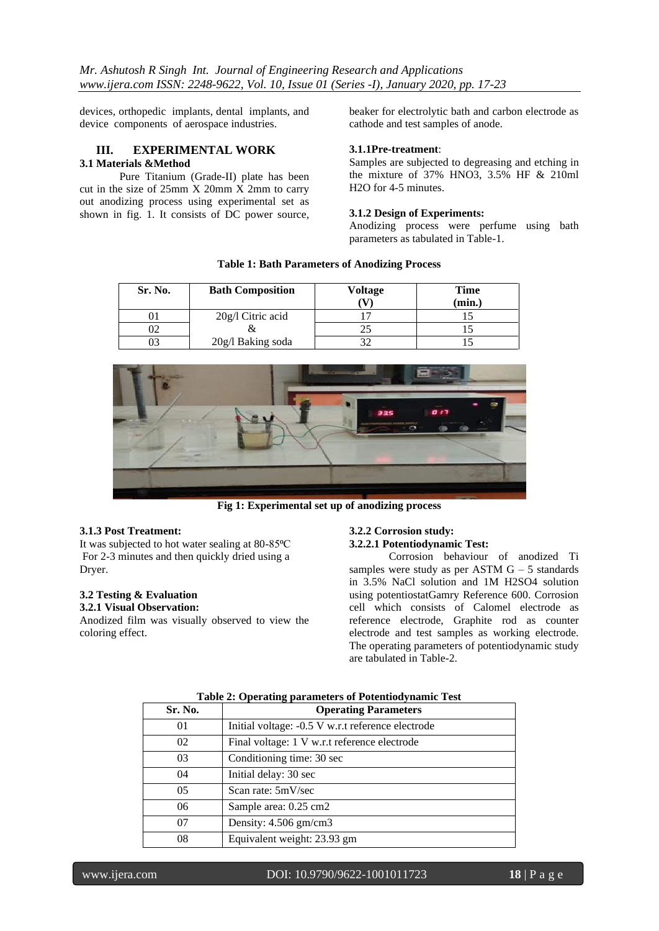devices, orthopedic implants, dental implants, and device components of aerospace industries.

## **III. EXPERIMENTAL WORK 3.1 Materials &Method**

Pure Titanium (Grade-II) plate has been cut in the size of  $25 \text{mm}$  X  $20 \text{mm}$  X  $2 \text{mm}$  to carry out anodizing process using experimental set as shown in fig. 1. It consists of DC power source, beaker for electrolytic bath and carbon electrode as cathode and test samples of anode.

#### **3.1.1Pre-treatment**:

Samples are subjected to degreasing and etching in the mixture of 37% HNO3, 3.5% HF & 210ml H2O for 4-5 minutes.

### **3.1.2 Design of Experiments:**

Anodizing process were perfume using bath parameters as tabulated in Table-1.

| Sr. No. | <b>Bath Composition</b> | Voltage | Time<br>(min.) |
|---------|-------------------------|---------|----------------|
|         | $20g/l$ Citric acid     |         |                |
|         |                         |         |                |
|         | 20g/l Baking soda       |         |                |





**Fig 1: Experimental set up of anodizing process**

## **3.1.3 Post Treatment:**

It was subjected to hot water sealing at 80-85°C For 2-3 minutes and then quickly dried using a Dryer.

#### **3.2 Testing & Evaluation 3.2.1 Visual Observation:**

Anodized film was visually observed to view the coloring effect.

# **3.2.2 Corrosion study:**

# **3.2.2.1 Potentiodynamic Test:**

Corrosion behaviour of anodized Ti samples were study as per ASTM  $G - 5$  standards in 3.5% NaCl solution and 1M H2SO4 solution using potentiostatGamry Reference 600. Corrosion cell which consists of Calomel electrode as reference electrode, Graphite rod as counter electrode and test samples as working electrode. The operating parameters of potentiodynamic study are tabulated in Table-2.

| Sr. No.        | <b>Operating Parameters</b>                       |
|----------------|---------------------------------------------------|
| 01             | Initial voltage: -0.5 V w.r.t reference electrode |
| 02             | Final voltage: 1 V w.r.t reference electrode      |
| 03             | Conditioning time: 30 sec                         |
| 04             | Initial delay: 30 sec                             |
| 0 <sub>5</sub> | Scan rate: 5mV/sec                                |
| 06             | Sample area: 0.25 cm2                             |
| 07             | Density: 4.506 gm/cm3                             |
| 08             | Equivalent weight: 23.93 gm                       |

# **Table 2: Operating parameters of Potentiodynamic Test**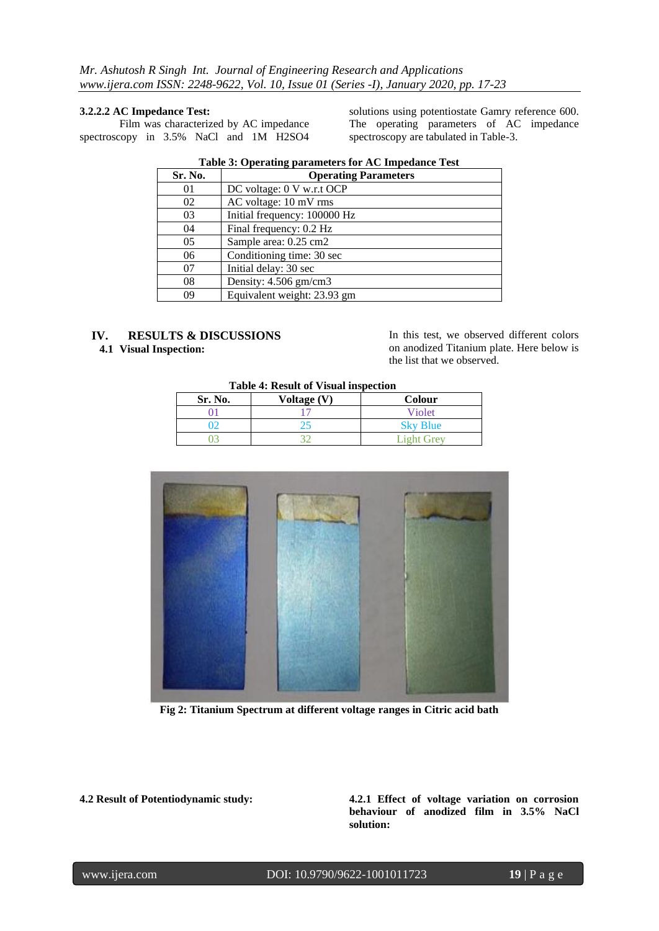#### **3.2.2.2 AC Impedance Test:**

Film was characterized by AC impedance spectroscopy in 3.5% NaCl and 1M H2SO4 solutions using potentiostate Gamry reference 600. The operating parameters of AC impedance spectroscopy are tabulated in Table-3.

| Sr. No. | <b>Operating Parameters</b>  |
|---------|------------------------------|
| 01      | DC voltage: 0 V w.r.t OCP    |
| 02      | AC voltage: 10 mV rms        |
| 03      | Initial frequency: 100000 Hz |
| 04      | Final frequency: 0.2 Hz      |
| 05      | Sample area: 0.25 cm2        |
| 06      | Conditioning time: 30 sec    |
| 07      | Initial delay: 30 sec        |
| 08      | Density: 4.506 gm/cm3        |
| 09      | Equivalent weight: 23.93 gm  |

### **Table 3: Operating parameters for AC Impedance Test**

# **IV. RESULTS & DISCUSSIONS**

**4.1 Visual Inspection:**

In this test, we observed different colors on anodized Titanium plate. Here below is the list that we observed.

# **Table 4: Result of Visual inspection**

| Sr. No. | Voltage (V) | Colour          |
|---------|-------------|-----------------|
|         |             | Violet          |
|         |             | <b>Sky Blue</b> |
|         |             | Light Grev      |



 **Fig 2: Titanium Spectrum at different voltage ranges in Citric acid bath**

**4.2 Result of Potentiodynamic study: 4.2.1 Effect of voltage variation on corrosion behaviour of anodized film in 3.5% NaCl solution:**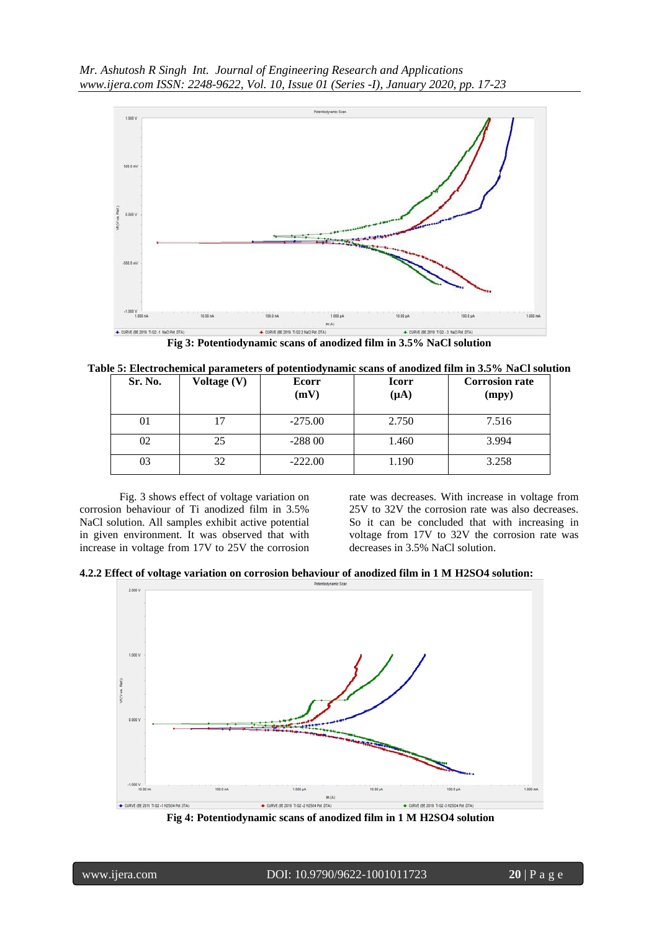*Mr. Ashutosh R Singh Int. Journal of Engineering Research and Applications www.ijera.com ISSN: 2248-9622, Vol. 10, Issue 01 (Series -I), January 2020, pp. 17-23*



**Fig 3: Potentiodynamic scans of anodized film in 3.5% NaCl solution**

| Sr. No. | Voltage (V) | Ecorr<br>(mV) | <b>Icorr</b><br>$(\mu A)$ | <b>Corrosion rate</b><br>(mpy) |
|---------|-------------|---------------|---------------------------|--------------------------------|
| 01      |             | $-275.00$     | 2.750                     | 7.516                          |
| 02      | 25          | $-28800$      | 1.460                     | 3.994                          |
| 03      | 32          | $-222.00$     | 1.190                     | 3.258                          |

Fig. 3 shows effect of voltage variation on corrosion behaviour of Ti anodized film in 3.5% NaCl solution. All samples exhibit active potential in given environment. It was observed that with increase in voltage from 17V to 25V the corrosion rate was decreases. With increase in voltage from 25V to 32V the corrosion rate was also decreases. So it can be concluded that with increasing in voltage from 17V to 32V the corrosion rate was decreases in 3.5% NaCl solution.

**4.2.2 Effect of voltage variation on corrosion behaviour of anodized film in 1 M H2SO4 solution:**



**Fig 4: Potentiodynamic scans of anodized film in 1 M H2SO4 solution**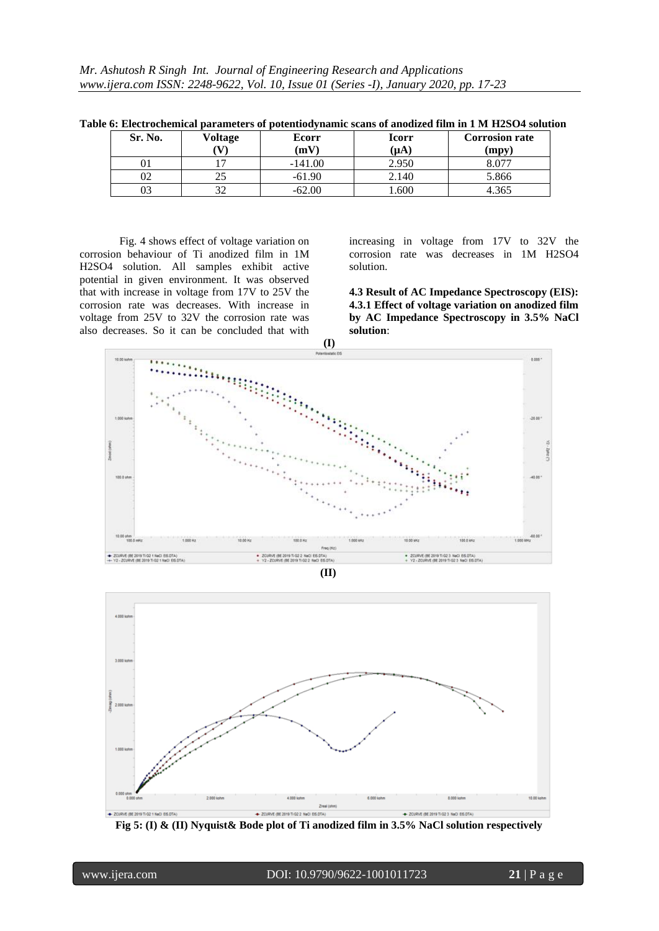| Sr. No.  | Voltage | Ecorr<br>(mV $\Gamma$ | <b>Icorr</b>  | <b>Corrosion rate</b> |
|----------|---------|-----------------------|---------------|-----------------------|
| UΙ       |         | $-141.00$             | (µA)<br>2.950 | (mpy)                 |
| ∩∩<br>UΖ | ت       | $-61.90$              | 2.140         | 5.866                 |
| 03       | $\sim$  | $-62.00$              | 600           | 4.365                 |

**Table 6: Electrochemical parameters of potentiodynamic scans of anodized film in 1 M H2SO4 solution**

Fig. 4 shows effect of voltage variation on corrosion behaviour of Ti anodized film in 1M H2SO4 solution. All samples exhibit active potential in given environment. It was observed that with increase in voltage from 17V to 25V the corrosion rate was decreases. With increase in voltage from 25V to 32V the corrosion rate was also decreases. So it can be concluded that with

increasing in voltage from 17V to 32V the corrosion rate was decreases in 1M H2SO4 solution.

**4.3 Result of AC Impedance Spectroscopy (EIS): 4.3.1 Effect of voltage variation on anodized film by AC Impedance Spectroscopy in 3.5% NaCl solution**:





**Fig 5: (I) & (II) Nyquist& Bode plot of Ti anodized film in 3.5% NaCl solution respectively**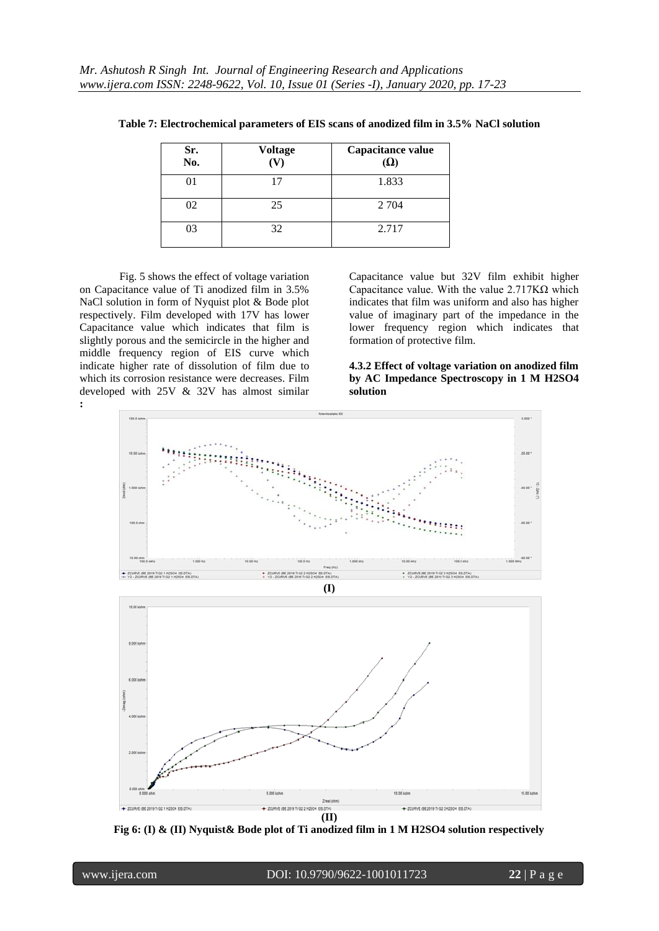| Sr.<br>No. | <b>Voltage</b><br>(V) | Capacitance value<br>$(\Omega)$ |
|------------|-----------------------|---------------------------------|
| 01         | 17                    | 1.833                           |
| 02         | 25                    | 2 7 0 4                         |
| 03         | 32                    | 2.717                           |

**Table 7: Electrochemical parameters of EIS scans of anodized film in 3.5% NaCl solution**

Fig. 5 shows the effect of voltage variation on Capacitance value of Ti anodized film in 3.5% NaCl solution in form of Nyquist plot & Bode plot respectively. Film developed with 17V has lower Capacitance value which indicates that film is slightly porous and the semicircle in the higher and middle frequency region of EIS curve which indicate higher rate of dissolution of film due to which its corrosion resistance were decreases. Film developed with 25V & 32V has almost similar **:**

Capacitance value but 32V film exhibit higher Capacitance value. With the value 2.717KΩ which indicates that film was uniform and also has higher value of imaginary part of the impedance in the lower frequency region which indicates that formation of protective film.

**4.3.2 Effect of voltage variation on anodized film by AC Impedance Spectroscopy in 1 M H2SO4 solution**



**Fig 6: (I) & (II) Nyquist& Bode plot of Ti anodized film in 1 M H2SO4 solution respectively**